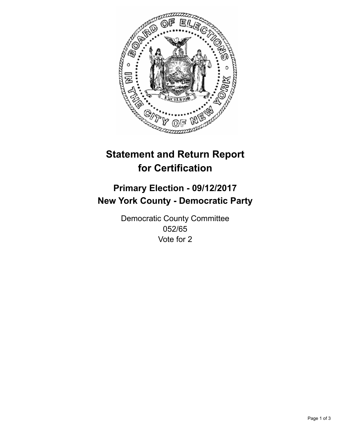

## **Statement and Return Report for Certification**

## **Primary Election - 09/12/2017 New York County - Democratic Party**

Democratic County Committee 052/65 Vote for 2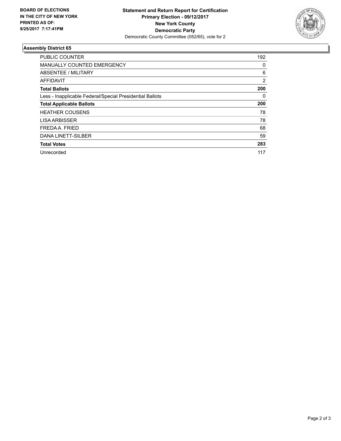

## **Assembly District 65**

| PUBLIC COUNTER                                           | 192 |
|----------------------------------------------------------|-----|
| <b>MANUALLY COUNTED EMERGENCY</b>                        | 0   |
| ABSENTEE / MILITARY                                      | 6   |
| AFFIDAVIT                                                | 2   |
| <b>Total Ballots</b>                                     | 200 |
| Less - Inapplicable Federal/Special Presidential Ballots | 0   |
| <b>Total Applicable Ballots</b>                          | 200 |
| <b>HEATHER COUSENS</b>                                   | 78  |
| <b>LISA ARBISSER</b>                                     | 78  |
| FREDA A. FRIED                                           | 68  |
| DANA LINETT-SILBER                                       | 59  |
| <b>Total Votes</b>                                       | 283 |
| Unrecorded                                               | 117 |